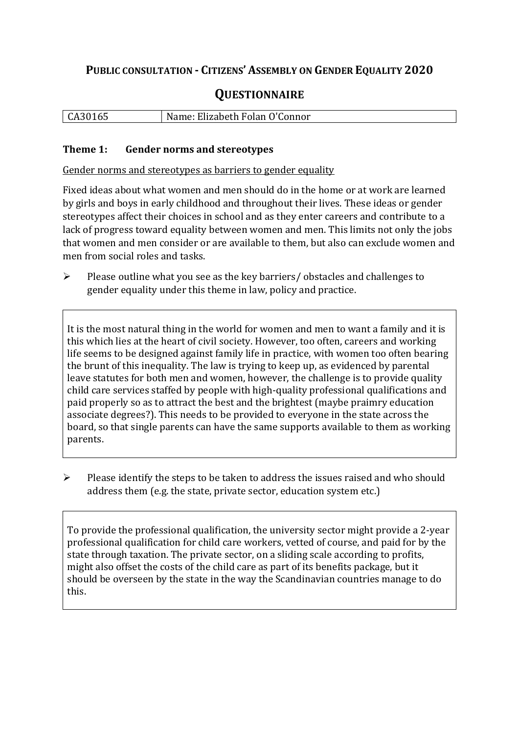# **PUBLIC CONSULTATION - CITIZENS' ASSEMBLY ON GENDER EQUALITY 2020**

# **QUESTIONNAIRE**

| CA30165 | Name: Elizabeth Folan O'Connor |
|---------|--------------------------------|
|         |                                |

#### **Theme 1: Gender norms and stereotypes**

Gender norms and stereotypes as barriers to gender equality

Fixed ideas about what women and men should do in the home or at work are learned by girls and boys in early childhood and throughout their lives. These ideas or gender stereotypes affect their choices in school and as they enter careers and contribute to a lack of progress toward equality between women and men. This limits not only the jobs that women and men consider or are available to them, but also can exclude women and men from social roles and tasks.

 $\triangleright$  Please outline what you see as the key barriers/ obstacles and challenges to gender equality under this theme in law, policy and practice.

It is the most natural thing in the world for women and men to want a family and it is this which lies at the heart of civil society. However, too often, careers and working life seems to be designed against family life in practice, with women too often bearing the brunt of this inequality. The law is trying to keep up, as evidenced by parental leave statutes for both men and women, however, the challenge is to provide quality child care services staffed by people with high-quality professional qualifications and paid properly so as to attract the best and the brightest (maybe praimry education associate degrees?). This needs to be provided to everyone in the state across the board, so that single parents can have the same supports available to them as working parents.

 $\triangleright$  Please identify the steps to be taken to address the issues raised and who should address them (e.g. the state, private sector, education system etc.)

To provide the professional qualification, the university sector might provide a 2-year professional qualification for child care workers, vetted of course, and paid for by the state through taxation. The private sector, on a sliding scale according to profits, might also offset the costs of the child care as part of its benefits package, but it should be overseen by the state in the way the Scandinavian countries manage to do this.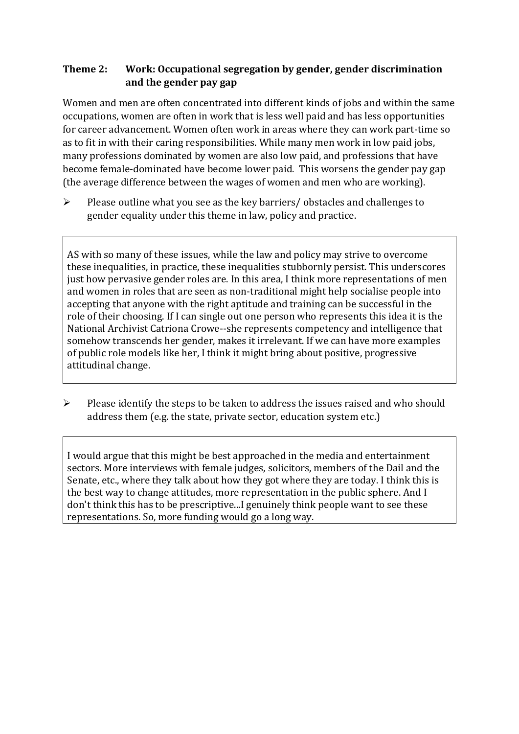# **Theme 2: Work: Occupational segregation by gender, gender discrimination and the gender pay gap**

Women and men are often concentrated into different kinds of jobs and within the same occupations, women are often in work that is less well paid and has less opportunities for career advancement. Women often work in areas where they can work part-time so as to fit in with their caring responsibilities. While many men work in low paid jobs, many professions dominated by women are also low paid, and professions that have become female-dominated have become lower paid. This worsens the gender pay gap (the average difference between the wages of women and men who are working).

 $\triangleright$  Please outline what you see as the key barriers/ obstacles and challenges to gender equality under this theme in law, policy and practice.

AS with so many of these issues, while the law and policy may strive to overcome these inequalities, in practice, these inequalities stubbornly persist. This underscores just how pervasive gender roles are. In this area, I think more representations of men and women in roles that are seen as non-traditional might help socialise people into accepting that anyone with the right aptitude and training can be successful in the role of their choosing. If I can single out one person who represents this idea it is the National Archivist Catriona Crowe--she represents competency and intelligence that somehow transcends her gender, makes it irrelevant. If we can have more examples of public role models like her, I think it might bring about positive, progressive attitudinal change.

 $\triangleright$  Please identify the steps to be taken to address the issues raised and who should address them (e.g. the state, private sector, education system etc.)

I would argue that this might be best approached in the media and entertainment sectors. More interviews with female judges, solicitors, members of the Dail and the Senate, etc., where they talk about how they got where they are today. I think this is the best way to change attitudes, more representation in the public sphere. And I don't think this has to be prescriptive...I genuinely think people want to see these representations. So, more funding would go a long way.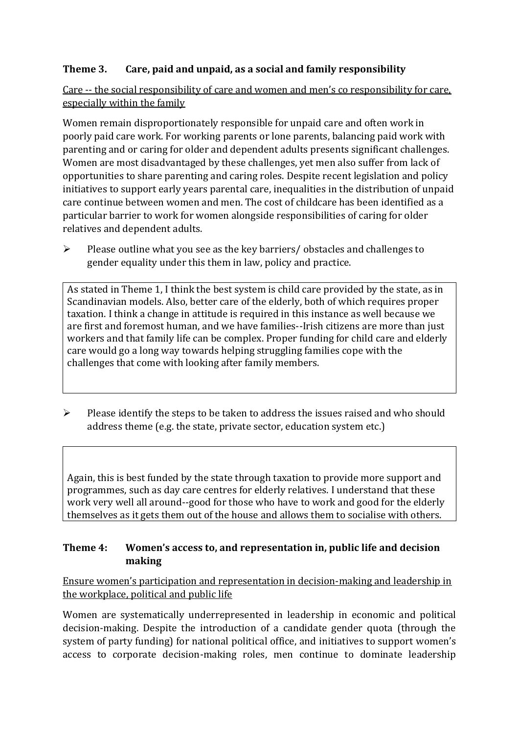# **Theme 3. Care, paid and unpaid, as a social and family responsibility**

Care -- the social responsibility of care and women and men's co responsibility for care, especially within the family

Women remain disproportionately responsible for unpaid care and often work in poorly paid care work. For working parents or [lone parents,](https://aran.library.nuigalway.ie/bitstream/handle/10379/6044/Millar_and_Crosse_Activation_Report.pdf?sequence=1&isAllowed=y) balancing paid work with parenting and or caring for older and dependent adults presents significant challenges. Women are [most disadvantaged by these challenges,](https://eige.europa.eu/gender-equality-index/game/IE/W) yet men also suffer from lack of opportunities to share parenting and caring roles. Despite recent legislation and policy initiatives to support early years parental care, [inequalities in the distribution of unpaid](https://www.ihrec.ie/app/uploads/2019/07/Caring-and-Unpaid-Work-in-Ireland_Final.pdf)  [care](https://www.ihrec.ie/app/uploads/2019/07/Caring-and-Unpaid-Work-in-Ireland_Final.pdf) continue between women and men. The cost of childcare has been identified as a particular barrier to work for women alongside responsibilities of caring for older relatives and dependent adults.

 $\triangleright$  Please outline what you see as the key barriers/ obstacles and challenges to gender equality under this them in law, policy and practice.

As stated in Theme 1, I think the best system is child care provided by the state, as in Scandinavian models. Also, better care of the elderly, both of which requires proper taxation. I think a change in attitude is required in this instance as well because we are first and foremost human, and we have families--Irish citizens are more than just workers and that family life can be complex. Proper funding for child care and elderly care would go a long way towards helping struggling families cope with the challenges that come with looking after family members.

 $\triangleright$  Please identify the steps to be taken to address the issues raised and who should address theme (e.g. the state, private sector, education system etc.)

Again, this is best funded by the state through taxation to provide more support and programmes, such as day care centres for elderly relatives. I understand that these work very well all around--good for those who have to work and good for the elderly themselves as it gets them out of the house and allows them to socialise with others.

### **Theme 4: Women's access to, and representation in, public life and decision making**

Ensure women's participation and representation in decision-making and leadership in the workplace, political and public life

Women are systematically underrepresented in leadership in [economic](https://eige.europa.eu/gender-equality-index/2019/compare-countries/power/2/bar) and [political](https://eige.europa.eu/gender-equality-index/2019/compare-countries/power/1/bar)  [decision-](https://eige.europa.eu/gender-equality-index/2019/compare-countries/power/1/bar)making. Despite the introduction of a candidate gender quota (through the system of party funding) for national political office, and [initiatives](https://betterbalance.ie/) to support women's access to corporate decision-making roles, men continue to dominate leadership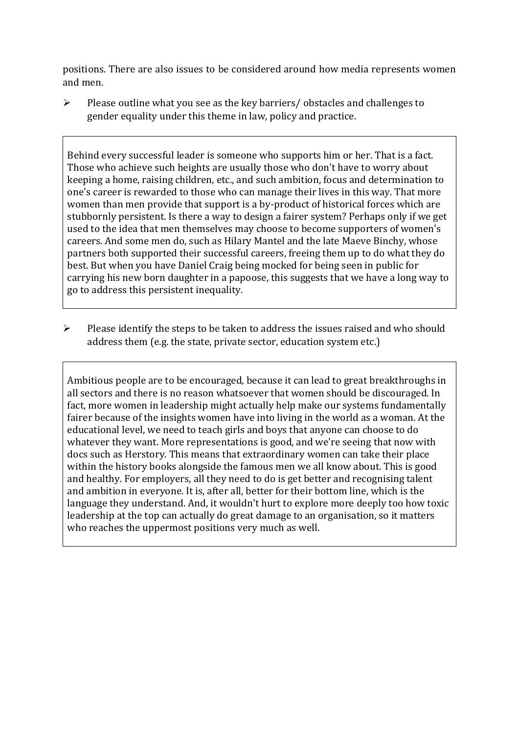positions. There are also issues to be considered around how media represents women and men.

 Please outline what you see as the key barriers/ obstacles and challenges to gender equality under this theme in law, policy and practice.

Behind every successful leader is someone who supports him or her. That is a fact. Those who achieve such heights are usually those who don't have to worry about keeping a home, raising children, etc., and such ambition, focus and determination to one's career is rewarded to those who can manage their lives in this way. That more women than men provide that support is a by-product of historical forces which are stubbornly persistent. Is there a way to design a fairer system? Perhaps only if we get used to the idea that men themselves may choose to become supporters of women's careers. And some men do, such as Hilary Mantel and the late Maeve Binchy, whose partners both supported their successful careers, freeing them up to do what they do best. But when you have Daniel Craig being mocked for being seen in public for carrying his new born daughter in a papoose, this suggests that we have a long way to go to address this persistent inequality.

 $\triangleright$  Please identify the steps to be taken to address the issues raised and who should address them (e.g. the state, private sector, education system etc.)

Ambitious people are to be encouraged, because it can lead to great breakthroughs in all sectors and there is no reason whatsoever that women should be discouraged. In fact, more women in leadership might actually help make our systems fundamentally fairer because of the insights women have into living in the world as a woman. At the educational level, we need to teach girls and boys that anyone can choose to do whatever they want. More representations is good, and we're seeing that now with docs such as Herstory. This means that extraordinary women can take their place within the history books alongside the famous men we all know about. This is good and healthy. For employers, all they need to do is get better and recognising talent and ambition in everyone. It is, after all, better for their bottom line, which is the language they understand. And, it wouldn't hurt to explore more deeply too how toxic leadership at the top can actually do great damage to an organisation, so it matters who reaches the uppermost positions very much as well.